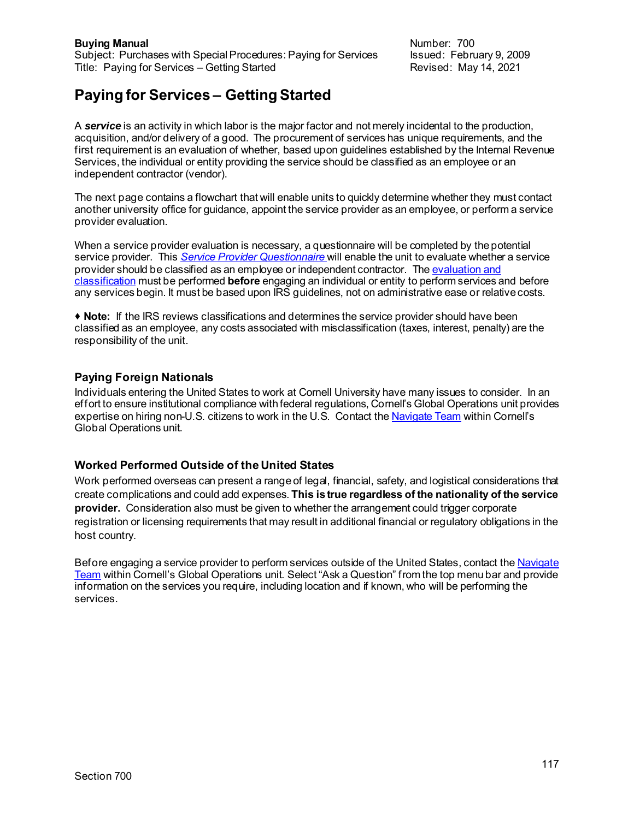# **Paying for Services – Getting Started**

A *service* is an activity in which labor is the major factor and not merely incidental to the production, acquisition, and/or delivery of a good. The procurement of services has unique requirements, and the first requirement is an evaluation of whether, based upon guidelines established by the Internal Revenue Services, the individual or entity providing the service should be classified as an employee or an independent contractor (vendor).

The next page contains a flowchart that will enable units to quickly determine whether they must contact another university office for guidance, appoint the service provider as an employee, or perform a service provider evaluation.

When a service provider evaluation is necessary, a questionnaire will be completed by the potential service provider. This *Service Provider [Questionnaire](https://www.dfa.cornell.edu/sites/default/files/service-provider-questionnaire.pdf)* will enable the unit to evaluate whether a service provider should be classified as an employee or independent contractor. Th[e evaluation and](https://www.dfa.cornell.edu/sites/default/files/provider-evaluation.pdf)  [classification](https://www.dfa.cornell.edu/sites/default/files/provider-evaluation.pdf) must be performed **before** engaging an individual or entity to perform services and before any services begin. It must be based upon IRS guidelines, not on administrative ease or relative costs.

 **Note:** If the IRS reviews classifications and determines the service provider should have been classified as an employee, any costs associated with misclassification (taxes, interest, penalty) are the responsibility of the unit.

### **Paying Foreign Nationals**

Individuals entering the United States to work at Cornell University have many issues to consider. In an effort to ensure institutional compliance with federal regulations, Cornell's Global Operations unit provides expertise on hiring non-U.S. citizens to work in the U.S. Contact th[e Navigate Team](https://navigate.cornell.edu/hc/en-us/articles/223703627-Employment-of-Workers-Consultants-and-or-Contractors-Overseas) within Cornell's Global Operations unit.

### **Worked Performed Outside of the United States**

Work performed overseas can present a range of legal, financial, safety, and logistical considerations that create complications and could add expenses. **This is true regardless of the nationality of the service provider.** Consideration also must be given to whether the arrangement could trigger corporate registration or licensing requirements that may result in additional financial or regulatory obligations in the host country.

Before engaging a service provider to perform services outside of the United States, contact the Navigate [Team](https://navigate.cornell.edu/hc/en-us/articles/223703627-Employment-of-Workers-Consultants-and-or-Contractors-Overseas) within Cornell's Global Operations unit. Select "Ask a Question" from the top menu bar and provide information on the services you require, including location and if known, who will be performing the services.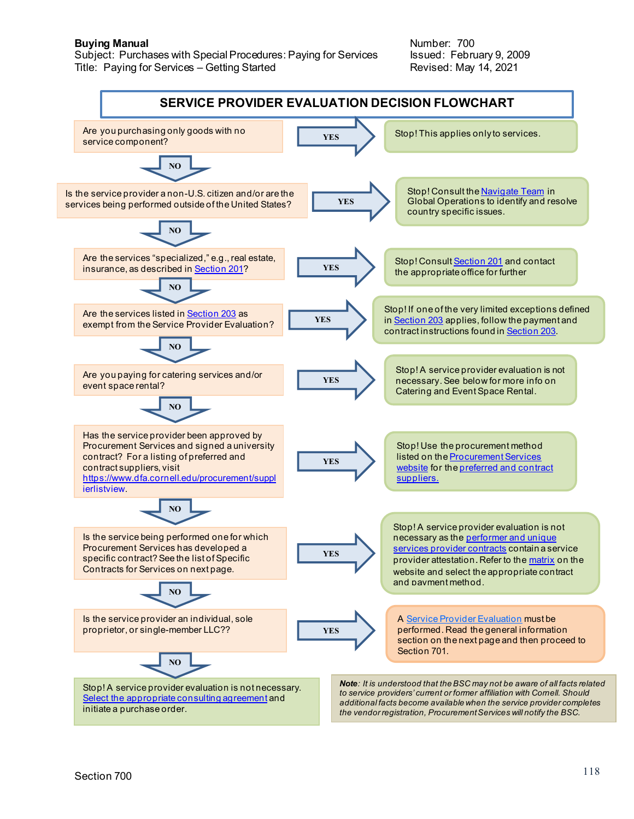**Buying Manual Number: 700**<br>Subject: Purchases with Special Procedures: Paying for Services Subject: February 9, 2009 Subject: Purchases with Special Procedures: Paying for Services Title: Paying for Services – Getting Started **Revised: May 14, 2021** 

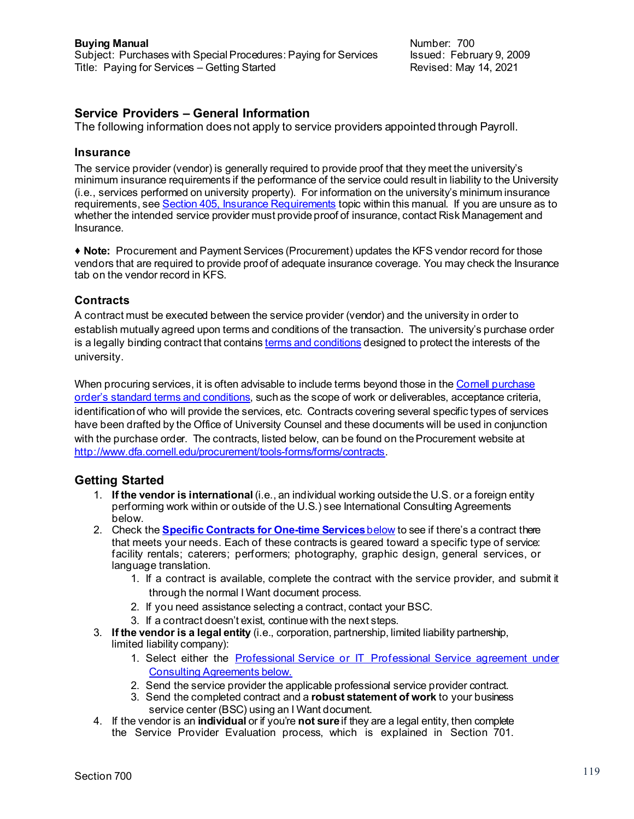# **Service Providers – General Information**

The following information does not apply to service providers appointed through Payroll.

#### **Insurance**

The service provider (vendor) is generally required to provide proof that they meet the university's minimum insurance requirements if the performance of the service could result in liability to the University (i.e., services performed on university property). For information on the university's minimum insurance requirements, se[e Section 405, Insurance](https://www.dfa.cornell.edu/sites/default/files/bm-section-405.pdf) Requirements topic within this manual. If you are unsure as to whether the intended service provider must provide proof of insurance, contact Risk Management and Insurance.

 **Note:** Procurement and Payment Services (Procurement) updates the KFS vendor record for those vendors that are required to provide proof of adequate insurance coverage. You may check the Insurance tab on the vendor record in KFS.

### **Contracts**

A contract must be executed between the service provider (vendor) and the university in order to establish mutually agreed upon terms and conditions of the transaction. The university's purchase order is a legally binding contract that contain[s terms and conditions](https://www.dfa.cornell.edu/sites/default/files/bm-section-404.pdf) designed to protect the interests of the university.

When procuring services, it is often advisable to include terms beyond those in the Cornell purchase order's standard [terms and conditions,](https://www.dfa.cornell.edu/sites/default/files/cornell-terms.pdf) such as the scope of work or deliverables, acceptance criteria, identification of who will provide the services, etc. Contracts covering several specific types of services have been drafted by the Office of University Counsel and these documents will be used in conjunction with the purchase order. The contracts, listed below, can be found on the Procurement website at <http://www.dfa.cornell.edu/procurement/tools-forms/forms/contracts>.

### **Getting Started**

- 1. **If the vendor is international** (i.e., an individual working outside the U.S. or a foreign entity performing work within or outside of the U.S.) see International Consulting Agreements below.
- 2. Check the **[Specific Contracts for One-time Services](file://sf-dfacit-fs-02.serverfarm.cornell.edu/procurement/tools-forms/forms/contracts/-specific-service-providers)**below to see if there's a contract there that meets your needs. Each of these contracts is geared toward a specific type of service: facility rentals; caterers; performers; photography, graphic design, general services, or language translation.
	- 1. If a contract is available, complete the contract with the service provider, and submit it through the normal I Want document process.
	- 2. If you need assistance selecting a contract, contact your BSC.
	- 3. If a contract doesn't exist, continue with the next steps.
- 3. **If the vendor is a legal entity** (i.e., corporation, partnership, limited liability partnership, limited liability company):
	- 1. Select either the [Professional Service or IT Professional Service agreement under](file://sf-dfacit-fs-02.serverfarm.cornell.edu/procurement/tools-forms/forms/contracts/professional-service-providers)  [Consulting Agreements below.](file://sf-dfacit-fs-02.serverfarm.cornell.edu/procurement/tools-forms/forms/contracts/professional-service-providers)
	- 2. Send the service provider the applicable professional service provider contract.
	- 3. Send the completed contract and a **robust statement of work** to your business service center (BSC) using an I Want document.
- 4. If the vendor is an **individual** or if you're **not sure**if they are a legal entity, then complete the Service Provider Evaluation process, which is explained in Section 701.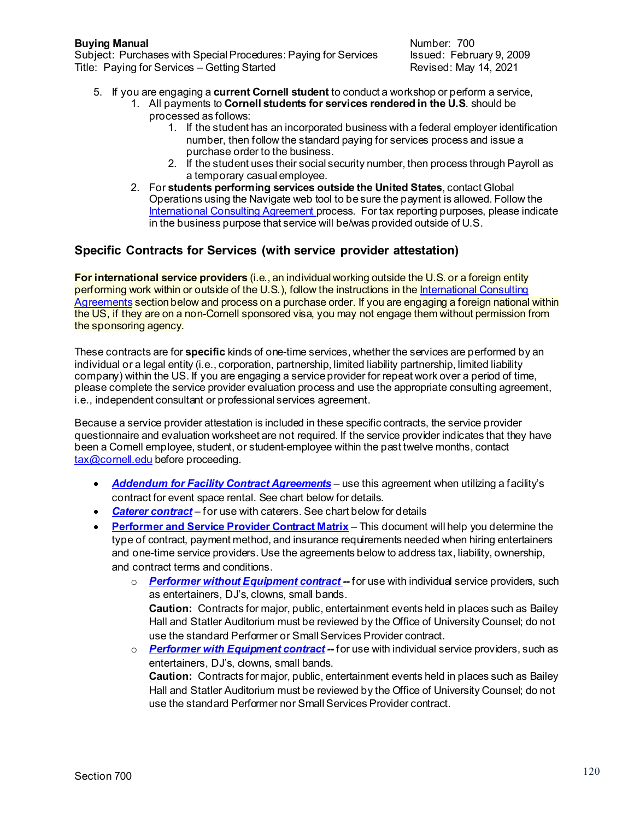**Buying Manual Buying Manual**<br>Subject: Purchases with Special Procedures: Paying for Services and alssued: February 9, 2009 Subject: Purchases with Special Procedures: Paying for Services Issued: February 9, 200<br>Title: Paying for Services – Getting Started Fig. 19921 Title: Paying for Services – Getting Started

- 5. If you are engaging a **current Cornell student** to conduct a workshop or perform a service,
	- 1. All payments to **Cornell students for services rendered in the U.S**. should be processed as follows:
		- 1. If the student has an incorporated business with a federal employer identification number, then follow the standard paying for services process and issue a purchase order to the business.
		- 2. If the student uses their social security number, then process through Payroll as a temporary casual employee.
	- 2. For **students performing services outside the United States**, contact Global Operations using the Navigate web tool to be sure the payment is allowed. Follow th[e](https://www.dfa.cornell.edu/procurement/tools-forms/forms/contracts#international) [International Consulting Agreement p](https://www.dfa.cornell.edu/procurement/tools-forms/forms/contracts#international)rocess. For tax reporting purposes, please indicate in the business purpose that service will be/was provided outside of U.S.

# **Specific Contracts for Services (with service provider attestation)**

**For international service providers** (i.e., an individual working outside the U.S. or a foreign entity performing work within or outside of the U.S.), follow the instructions in the International Consulting [Agreements](https://www.dfa.cornell.edu/procurement/tools-forms/forms/contracts#international) section below and process on a purchase order. If you are engaging a foreign national within the US, if they are on a non-Cornell sponsored visa, you may not engage them without permission from the sponsoring agency.

These contracts are for **specific** kinds of one-time services, whether the services are performed by an individual or a legal entity (i.e., corporation, partnership, limited liability partnership, limited liability company) within the US. If you are engaging a service provider for repeat work over a period of time, please complete the service provider evaluation process and use the appropriate consulting agreement, i.e., independent consultant or professional services agreement.

Because a service provider attestation is included in these specific contracts, the service provider questionnaire and evaluation worksheet are not required. If the service provider indicates that they have been a Cornell employee, student, or student-employee within the past twelve months, contact [tax@cornell.edu](mailto:tax@cornell.edu) before proceeding.

- *[Addendum for Facility Contract Agreements](https://www.dfa.cornell.edu/sites/default/files/addendum-facility-contract-agreements.pdf)* use this agreement when utilizing a facility's contract for event space rental. See chart below for details.
- [Caterer contract](https://www.dfa.cornell.edu/sites/default/files/caterer-contract.pdf) for use with caterers. See chart below for details
- **[Performer and Service Provider Contract Matrix](https://www.dfa.cornell.edu/sites/default/files/service-provider-matrix.pdf)** This document will help you determine the type of contract, payment method, and insurance requirements needed when hiring entertainers and one-time service providers. Use the agreements below to address tax, liability, ownership, and contract terms and conditions.

use the standard Performer or Small Services Provider contract.

- o *Performer [without Equipment contract](https://www.dfa.cornell.edu/sites/default/files/performer-no-equipment-contract.pdf) --* for use with individual service providers, such as entertainers, DJ's, clowns, small bands. **Caution:** Contracts for major, public, entertainment events held in places such as Bailey Hall and Statler Auditorium must be reviewed by the Office of University Counsel; do not
- o *Performer [with Equipment contract](https://www.dfa.cornell.edu/sites/default/files/performer-equipment-contract.pdf) --* for use with individual service providers, such as entertainers, DJ's, clowns, small bands. **Caution:** Contracts for major, public, entertainment events held in places such as Bailey Hall and Statler Auditorium must be reviewed by the Office of University Counsel; do not use the standard Performer nor Small Services Provider contract.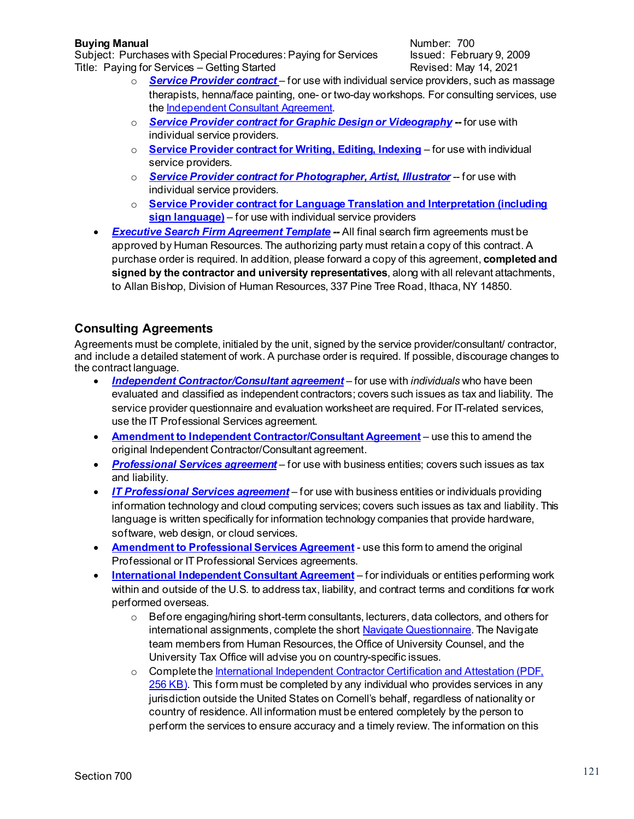**Buying Manual Buying Manual**<br>Subject: Purchases with Special Procedures: Paying for Services lissued: February 9, 2009 Subject: Purchases with Special Procedures: Paying for Services Title: Paying for Services – Getting Started Revised: May 14, 2021

- o *[Service Provider contract](https://www.dfa.cornell.edu/sites/default/files/small-services-contract.pdf)* for use with individual service providers, such as massage therapists, henna/face painting, one- or two-day workshops. For consulting services, use th[e Independent Consultant Agreement.](https://www.dfa.cornell.edu/procurement/tools-forms/forms/contracts#consulting)
- o *[Service Provider contract](https://www.dfa.cornell.edu/sites/default/files/comm-services-prof-services-agrmt.pdf) for Graphic Design or Videography --* for use with individual service providers.
- o **[Service Provider contract for Writing,](https://www.dfa.cornell.edu/sites/default/files/writing-editing-provider-contract.pdf) Editing, Indexing** for use with individual service providers.
- o *Service Provider contract [for Photographer, Artist, Illustrator](https://www.dfa.cornell.edu/sites/default/files/photographer-prof-services-agrmt.pdf)* -- for use with individual service providers.
- o **[Service Provider contract for Language Translation](https://www.dfa.cornell.edu/procurement/tools-forms/forms/contracts) and Interpretation (including sign language)** – for use with individual service providers
- *Executive [Search Firm Agreement](https://www.dfa.cornell.edu/procurement/tools-forms/forms/contracts) Template --* All final search firm agreements must be approved by Human Resources. The authorizing party must retain a copy of this contract. A purchase order is required. In addition, please forward a copy of this agreement, **completed and signed by the contractor and university representatives**, along with all relevant attachments, to Allan Bishop, Division of Human Resources, 337 Pine Tree Road, Ithaca, NY 14850.

# **Consulting Agreements**

Agreements must be complete, initialed by the unit, signed by the service provider/consultant/ contractor, and include a detailed statement of work. A purchase order is required. If possible, discourage changes to the contract language.

- *[Independent Contractor/Consultant agreement](https://www.dfa.cornell.edu/sites/default/files/consultant-agreement.pdf)* for use with *individuals* who have been evaluated and classified as independent contractors; covers such issues as tax and liability. The service provider questionnaire and evaluation worksheet are required. For IT-related services, use the IT Professional Services agreement.
- **[Amendment to Independent Contractor/Consultant Agreement](https://www.dfa.cornell.edu/sites/default/files/consultant-amendment.pdf)** use this to amend the original Independent Contractor/Consultant agreement.
- *[Professional Services agreement](https://www.dfa.cornell.edu/sites/default/files/prof-services-agrmt.pdf)* for use with business entities; covers such issues as tax and liability.
- *[IT Professional Services agreement](https://www.dfa.cornell.edu/sites/default/files/it-prof-services-agrmt.pdf)* for use with business entities or individuals providing information technology and cloud computing services; covers such issues as tax and liability. This language is written specifically for information technology companies that provide hardware, software, web design, or cloud services.
- **[Amendment to Professional Services Agreement](https://www.dfa.cornell.edu/sites/default/files/prof-services-amendment.pdf)** use this form to amend the original Professional or IT Professional Services agreements.
- **[International Independent Consultant Agreement](https://www.dfa.cornell.edu/sites/default/files/international-consultant-agreement.pdf)** for individuals or entities performing work within and outside of the U.S. to address tax, liability, and contract terms and conditions for work performed overseas.
	- $\circ$  Before engaging/hiring short-term consultants, lecturers, data collectors, and others for international assignments, complete the shor[t Navigate Questionnaire](https://navigate.cornell.edu/hc/en-us). The Navigate team members from Human Resources, the Office of University Counsel, and the University Tax Office will advise you on country-specific issues.
	- o Complete th[e International Independent Contractor Certification and Attestation \(PDF,](https://www.dfa.cornell.edu/sites/default/files/international-service-provider-attestation.pdf)  [256 KB\).](https://www.dfa.cornell.edu/sites/default/files/international-service-provider-attestation.pdf) This form must be completed by any individual who provides services in any jurisdiction outside the United States on Cornell's behalf, regardless of nationality or country of residence. All information must be entered completely by the person to perform the services to ensure accuracy and a timely review. The information on this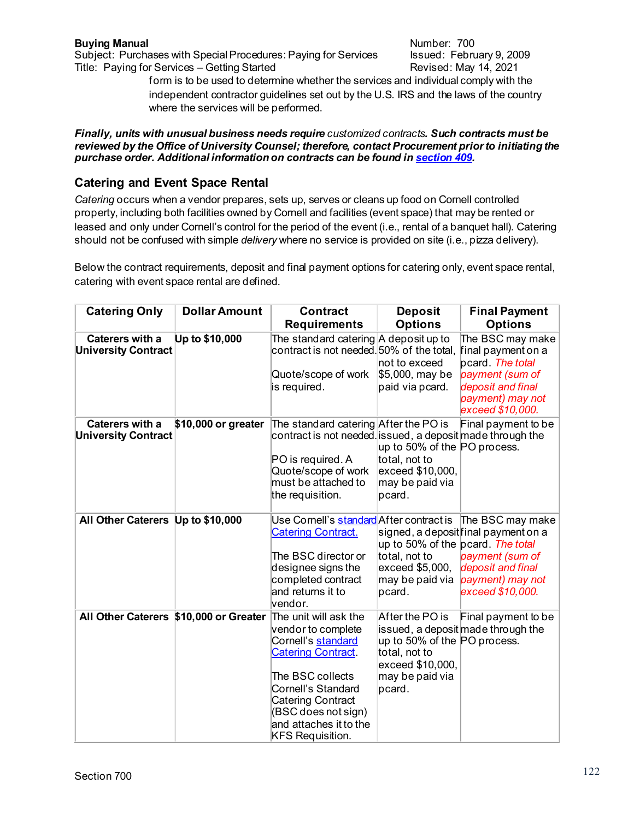**Buying Manual Buying Manual**<br>Subject: Purchases with Special Procedures: Paying for Services and alssued: February 9, 2009 Subject: Purchases with Special Procedures: Paying for Services Title: Paying for Services – Getting Started Revised: May 14, 2021

form is to be used to determine whether the services and individual comply with the independent contractor guidelines set out by the U.S. IRS and the laws of the country where the services will be performed.

#### *Finally, units with unusual business needs require customized contracts. Such contracts must be reviewed by the Office of University Counsel; therefore, contact Procurement prior to initiating the purchase order. Additional information on contracts can be found i[n section 409](https://www.dfa.cornell.edu/sites/default/files/bm-section-409.pdf).*

# **Catering and Event Space Rental**

*Catering* occurs when a vendor prepares, sets up, serves or cleans up food on Cornell controlled property, including both facilities owned by Cornell and facilities (event space) that may be rented or leased and only under Cornell's control for the period of the event (i.e., rental of a banquet hall). Catering should not be confused with simple *delivery* where no service is provided on site (i.e., pizza delivery).

Below the contract requirements, deposit and final payment options for catering only, event space rental, catering with event space rental are defined.

| <b>Catering Only</b>                                 | <b>Dollar Amount</b> | <b>Contract</b>                                                                                                                                                                                                                                         | <b>Deposit</b>                                                                                                    | <b>Final Payment</b>                                                                                                                     |
|------------------------------------------------------|----------------------|---------------------------------------------------------------------------------------------------------------------------------------------------------------------------------------------------------------------------------------------------------|-------------------------------------------------------------------------------------------------------------------|------------------------------------------------------------------------------------------------------------------------------------------|
|                                                      |                      | <b>Requirements</b>                                                                                                                                                                                                                                     | <b>Options</b>                                                                                                    | <b>Options</b>                                                                                                                           |
| <b>Caterers with a</b><br><b>University Contract</b> | Up to \$10,000       | The standard catering A deposit up to<br>contract is not needed. 50% of the total,                                                                                                                                                                      | not to exceed                                                                                                     | The BSC may make<br>final payment on a<br>pcard. The total                                                                               |
|                                                      |                      | Quote/scope of work<br>is required.                                                                                                                                                                                                                     | \$5,000, may be<br>paid via pcard.                                                                                | payment (sum of<br>deposit and final<br>payment) may not<br>exceed \$10,000.                                                             |
| Caterers with a<br><b>University Contract</b>        | \$10,000 or greater  | The standard catering After the PO is<br>contract is not needed. issued, a deposit made through the<br>PO is required. A<br>Quote/scope of work<br>must be attached to<br>the requisition.                                                              | up to 50% of the PO process.<br>total, not to<br>exceed \$10,000,<br>may be paid via<br>pcard.                    | Final payment to be                                                                                                                      |
|                                                      |                      |                                                                                                                                                                                                                                                         |                                                                                                                   |                                                                                                                                          |
| All Other Caterers Up to \$10,000                    |                      | Use Cornell's <u>standard</u>  After contract is<br><b>Catering Contract.</b><br>The BSC director or<br>designee signs the<br>completed contract<br>and returns it to<br>vendor.                                                                        | up to 50% of the pcard. The total<br>total, not to<br>exceed \$5,000,<br>may be paid via<br>pcard.                | The BSC may make<br>signed, a deposit final payment on a<br>payment (sum of<br>deposit and final<br>payment) may not<br>exceed \$10,000. |
| All Other Caterers \$10,000 or Greater               |                      | The unit will ask the<br>vendor to complete<br>Cornell's standard<br><b>Catering Contract.</b><br>The BSC collects<br><b>Cornell's Standard</b><br><b>Catering Contract</b><br>(BSC does not sign)<br>and attaches it to the<br><b>KFS Requisition.</b> | After the PO is<br>up to 50% of the PO process.<br>total, not to<br>exceed \$10,000,<br>may be paid via<br>pcard. | Final payment to be<br>issued, a deposit made through the                                                                                |